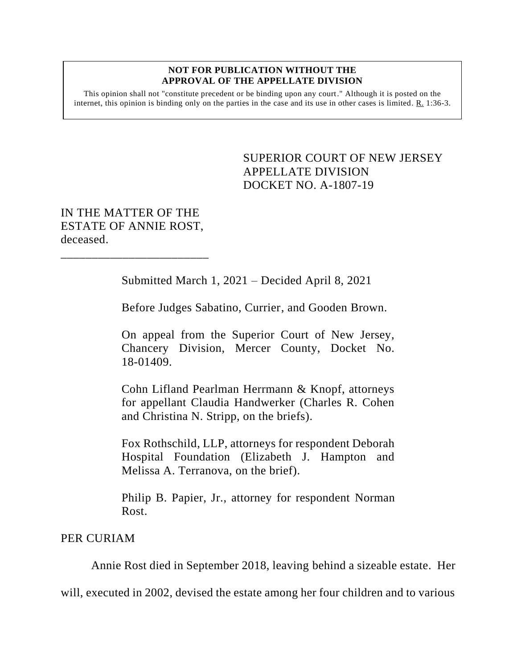## **NOT FOR PUBLICATION WITHOUT THE APPROVAL OF THE APPELLATE DIVISION**

This opinion shall not "constitute precedent or be binding upon any court." Although it is posted on the internet, this opinion is binding only on the parties in the case and its use in other cases is limited.  $R_1$  1:36-3.

> <span id="page-0-0"></span>SUPERIOR COURT OF NEW JERSEY APPELLATE DIVISION DOCKET NO. A-1807-19

IN THE MATTER OF THE ESTATE OF ANNIE ROST, deceased.

\_\_\_\_\_\_\_\_\_\_\_\_\_\_\_\_\_\_\_\_\_\_\_\_

Submitted March 1, 2021 – Decided April 8, 2021

Before Judges Sabatino, Currier, and Gooden Brown.

On appeal from the Superior Court of New Jersey, Chancery Division, Mercer County, Docket No. 18-01409.

Cohn Lifland Pearlman Herrmann & Knopf, attorneys for appellant Claudia Handwerker (Charles R. Cohen and Christina N. Stripp, on the briefs).

Fox Rothschild, LLP, attorneys for respondent Deborah Hospital Foundation (Elizabeth J. Hampton and Melissa A. Terranova, on the brief).

Philip B. Papier, Jr., attorney for respondent Norman Rost.

## PER CURIAM

Annie Rost died in September 2018, leaving behind a sizeable estate. Her

will, executed in 2002, devised the estate among her four children and to various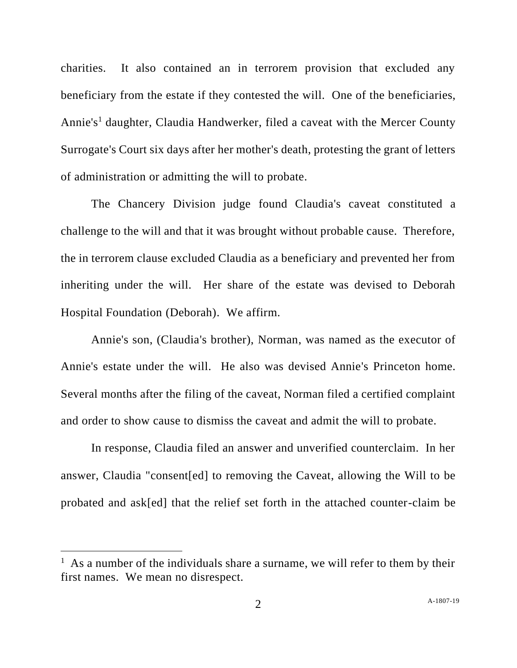charities. It also contained an in terrorem provision that excluded any beneficiary from the estate if they contested the will. One of the beneficiaries, Annie's<sup>1</sup> daughter, Claudia Handwerker, filed a caveat with the Mercer County Surrogate's Court six days after her mother's death, protesting the grant of letters of administration or admitting the will to probate.

The Chancery Division judge found Claudia's caveat constituted a challenge to the will and that it was brought without probable cause. Therefore, the in terrorem clause excluded Claudia as a beneficiary and prevented her from inheriting under the will. Her share of the estate was devised to Deborah Hospital Foundation (Deborah). We affirm.

Annie's son, (Claudia's brother), Norman, was named as the executor of Annie's estate under the will. He also was devised Annie's Princeton home. Several months after the filing of the caveat, Norman filed a certified complaint and order to show cause to dismiss the caveat and admit the will to probate.

In response, Claudia filed an answer and unverified counterclaim. In her answer, Claudia "consent[ed] to removing the Caveat, allowing the Will to be probated and ask[ed] that the relief set forth in the attached counter-claim be

<sup>&</sup>lt;sup>1</sup> As a number of the individuals share a surname, we will refer to them by their first names. We mean no disrespect.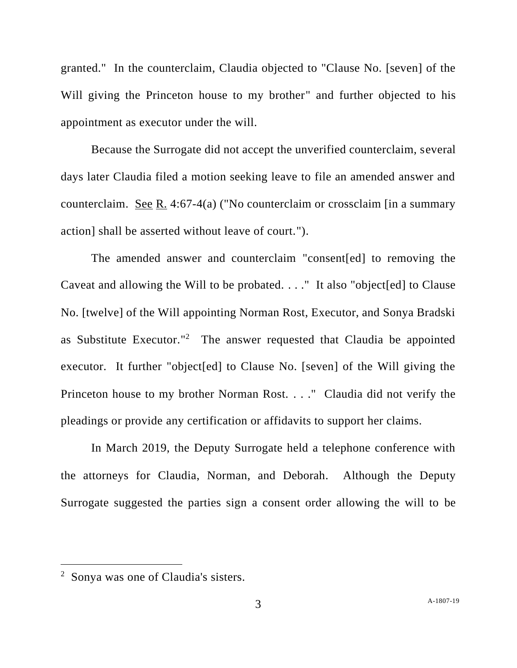granted." In the counterclaim, Claudia objected to "Clause No. [seven] of the Will giving the Princeton house to my brother" and further objected to his appointment as executor under the will.

Because the Surrogate did not accept the unverified counterclaim, several days later Claudia filed a motion seeking leave to file an amended answer and counterclaim. See R. 4:67-4(a) ("No counterclaim or crossclaim [in a summary action] shall be asserted without leave of court.").

The amended answer and counterclaim "consent[ed] to removing the Caveat and allowing the Will to be probated. . . ." It also "object[ed] to Clause No. [twelve] of the Will appointing Norman Rost, Executor, and Sonya Bradski as Substitute Executor."<sup>2</sup> The answer requested that Claudia be appointed executor. It further "object[ed] to Clause No. [seven] of the Will giving the Princeton house to my brother Norman Rost. . . ." Claudia did not verify the pleadings or provide any certification or affidavits to support her claims.

In March 2019, the Deputy Surrogate held a telephone conference with the attorneys for Claudia, Norman, and Deborah. Although the Deputy Surrogate suggested the parties sign a consent order allowing the will to be

<sup>2</sup> Sonya was one of Claudia's sisters.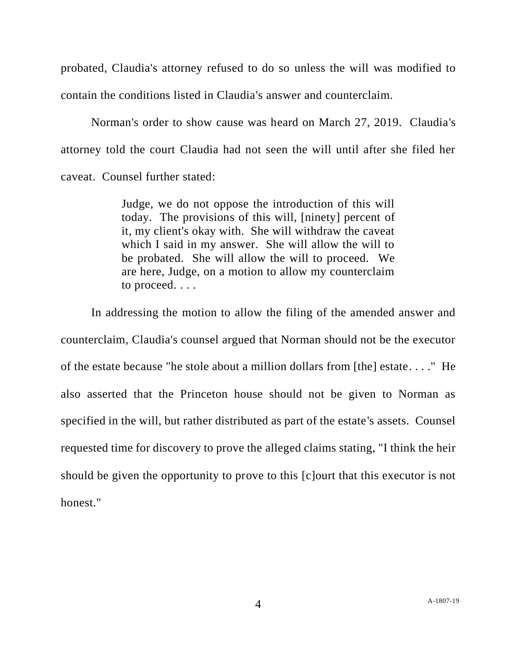probated, Claudia's attorney refused to do so unless the will was modified to contain the conditions listed in Claudia's answer and counterclaim.

Norman's order to show cause was heard on March 27, 2019. Claudia's attorney told the court Claudia had not seen the will until after she filed her caveat. Counsel further stated:

> Judge, we do not oppose the introduction of this will today. The provisions of this will, [ninety] percent of it, my client's okay with. She will withdraw the caveat which I said in my answer. She will allow the will to be probated. She will allow the will to proceed. We are here, Judge, on a motion to allow my counterclaim to proceed. . . .

In addressing the motion to allow the filing of the amended answer and counterclaim, Claudia's counsel argued that Norman should not be the executor of the estate because "he stole about a million dollars from [the] estate. . . ." He also asserted that the Princeton house should not be given to Norman as specified in the will, but rather distributed as part of the estate's assets. Counsel requested time for discovery to prove the alleged claims stating, "I think the heir should be given the opportunity to prove to this [c]ourt that this executor is not honest."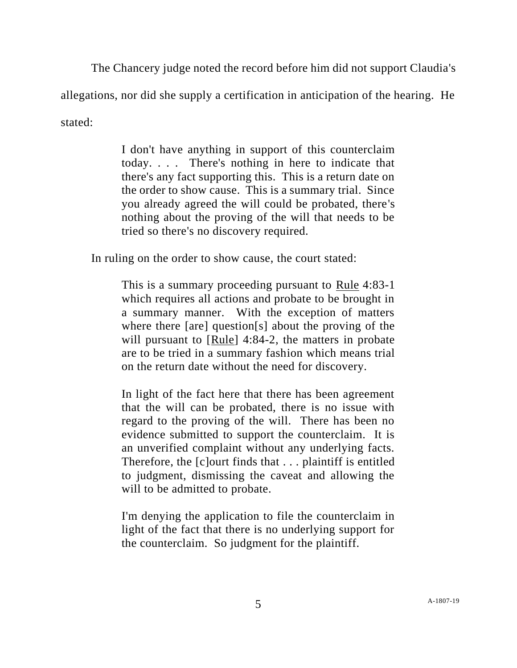The Chancery judge noted the record before him did not support Claudia's

allegations, nor did she supply a certification in anticipation of the hearing. He

stated:

I don't have anything in support of this counterclaim today. . . . There's nothing in here to indicate that there's any fact supporting this. This is a return date on the order to show cause. This is a summary trial. Since you already agreed the will could be probated, there's nothing about the proving of the will that needs to be tried so there's no discovery required.

In ruling on the order to show cause, the court stated:

This is a summary proceeding pursuant to Rule 4:83-1 which requires all actions and probate to be brought in a summary manner. With the exception of matters where there [are] question[s] about the proving of the will pursuant to [Rule] 4:84-2, the matters in probate are to be tried in a summary fashion which means trial on the return date without the need for discovery.

In light of the fact here that there has been agreement that the will can be probated, there is no issue with regard to the proving of the will. There has been no evidence submitted to support the counterclaim. It is an unverified complaint without any underlying facts. Therefore, the [c]ourt finds that . . . plaintiff is entitled to judgment, dismissing the caveat and allowing the will to be admitted to probate.

I'm denying the application to file the counterclaim in light of the fact that there is no underlying support for the counterclaim. So judgment for the plaintiff.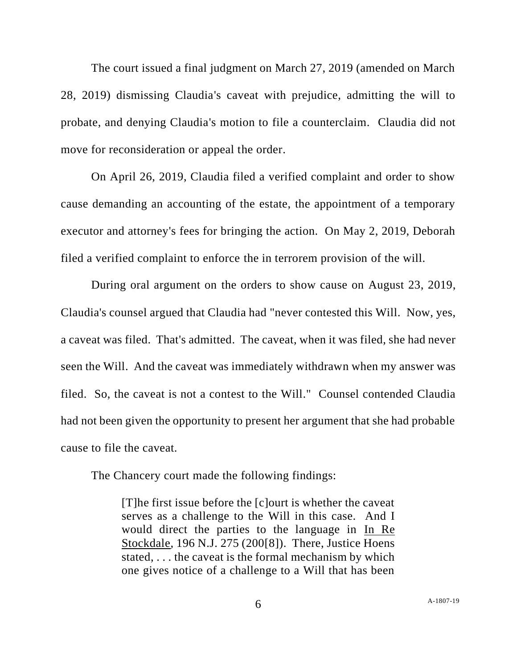The court issued a final judgment on March 27, 2019 (amended on March 28, 2019) dismissing Claudia's caveat with prejudice, admitting the will to probate, and denying Claudia's motion to file a counterclaim. Claudia did not move for reconsideration or appeal the order.

On April 26, 2019, Claudia filed a verified complaint and order to show cause demanding an accounting of the estate, the appointment of a temporary executor and attorney's fees for bringing the action. On May 2, 2019, Deborah filed a verified complaint to enforce the in terrorem provision of the will.

During oral argument on the orders to show cause on August 23, 2019, Claudia's counsel argued that Claudia had "never contested this Will. Now, yes, a caveat was filed. That's admitted. The caveat, when it was filed, she had never seen the Will. And the caveat was immediately withdrawn when my answer was filed. So, the caveat is not a contest to the Will." Counsel contended Claudia had not been given the opportunity to present her argument that she had probable cause to file the caveat.

The Chancery court made the following findings:

[T]he first issue before the [c]ourt is whether the caveat serves as a challenge to the Will in this case. And I would direct the parties to the language in In Re Stockdale, 196 N.J. 275 (200[8]). There, Justice Hoens stated, . . . the caveat is the formal mechanism by which one gives notice of a challenge to a Will that has been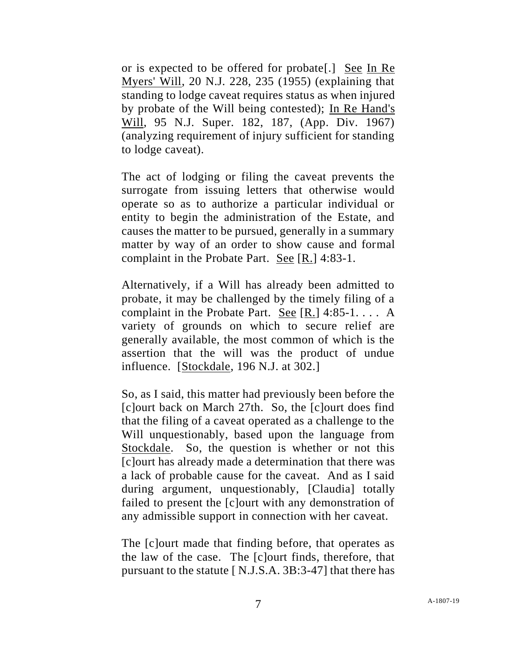or is expected to be offered for probate[.] See In Re Myers' Will, 20 N.J. 228, 235 (1955) (explaining that standing to lodge caveat requires status as when injured by probate of the Will being contested); In Re Hand's Will, 95 N.J. Super. 182, 187, (App. Div. 1967) (analyzing requirement of injury sufficient for standing to lodge caveat).

The act of lodging or filing the caveat prevents the surrogate from issuing letters that otherwise would operate so as to authorize a particular individual or entity to begin the administration of the Estate, and causes the matter to be pursued, generally in a summary matter by way of an order to show cause and formal complaint in the Probate Part. See [R.] 4:83-1.

Alternatively, if a Will has already been admitted to probate, it may be challenged by the timely filing of a complaint in the Probate Part. See [R.] 4:85-1. . . . A variety of grounds on which to secure relief are generally available, the most common of which is the assertion that the will was the product of undue influence. [Stockdale, 196 N.J. at 302.]

So, as I said, this matter had previously been before the [c]ourt back on March 27th. So, the [c]ourt does find that the filing of a caveat operated as a challenge to the Will unquestionably, based upon the language from Stockdale. So, the question is whether or not this [c]ourt has already made a determination that there was a lack of probable cause for the caveat. And as I said during argument, unquestionably, [Claudia] totally failed to present the [c]ourt with any demonstration of any admissible support in connection with her caveat.

The [c]ourt made that finding before, that operates as the law of the case. The [c]ourt finds, therefore, that pursuant to the statute [ N.J.S.A. 3B:3-47] that there has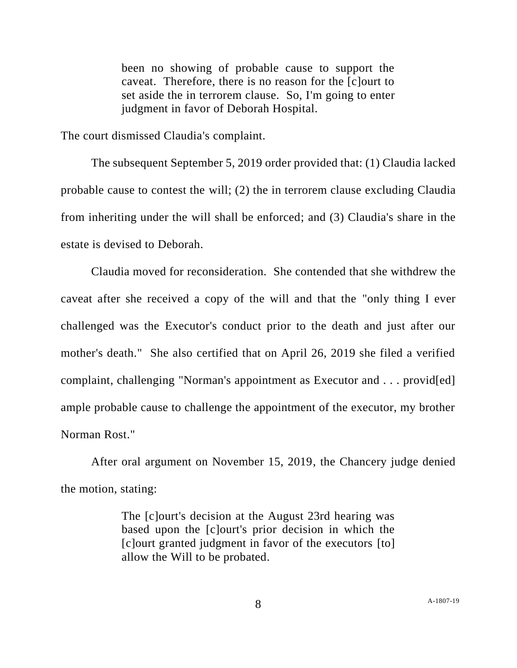been no showing of probable cause to support the caveat. Therefore, there is no reason for the [c]ourt to set aside the in terrorem clause. So, I'm going to enter judgment in favor of Deborah Hospital.

The court dismissed Claudia's complaint.

The subsequent September 5, 2019 order provided that: (1) Claudia lacked probable cause to contest the will; (2) the in terrorem clause excluding Claudia from inheriting under the will shall be enforced; and (3) Claudia's share in the estate is devised to Deborah.

Claudia moved for reconsideration. She contended that she withdrew the caveat after she received a copy of the will and that the "only thing I ever challenged was the Executor's conduct prior to the death and just after our mother's death." She also certified that on April 26, 2019 she filed a verified complaint, challenging "Norman's appointment as Executor and . . . provid[ed] ample probable cause to challenge the appointment of the executor, my brother Norman Rost."

After oral argument on November 15, 2019, the Chancery judge denied the motion, stating:

> The [c]ourt's decision at the August 23rd hearing was based upon the [c]ourt's prior decision in which the [c]ourt granted judgment in favor of the executors [to] allow the Will to be probated.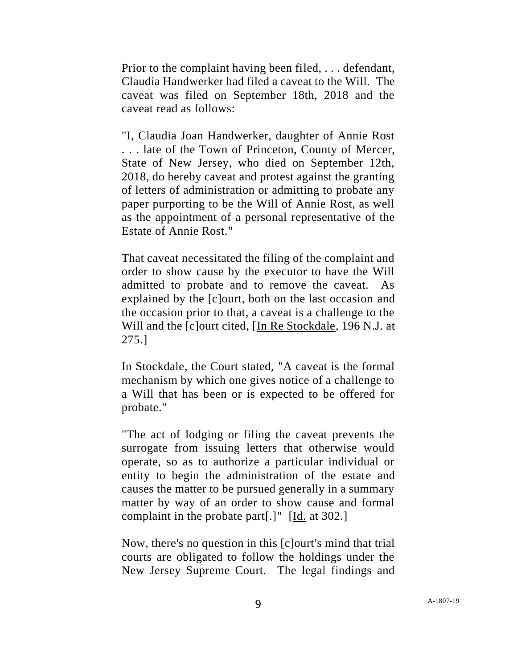Prior to the complaint having been filed, . . . defendant, Claudia Handwerker had filed a caveat to the Will. The caveat was filed on September 18th, 2018 and the caveat read as follows:

"I, Claudia Joan Handwerker, daughter of Annie Rost . . . late of the Town of Princeton, County of Mercer, State of New Jersey, who died on September 12th, 2018, do hereby caveat and protest against the granting of letters of administration or admitting to probate any paper purporting to be the Will of Annie Rost, as well as the appointment of a personal representative of the Estate of Annie Rost."

That caveat necessitated the filing of the complaint and order to show cause by the executor to have the Will admitted to probate and to remove the caveat. As explained by the [c]ourt, both on the last occasion and the occasion prior to that, a caveat is a challenge to the Will and the [c]ourt cited, [In Re Stockdale, 196 N.J. at 275.]

In Stockdale, the Court stated, "A caveat is the formal mechanism by which one gives notice of a challenge to a Will that has been or is expected to be offered for probate."

"The act of lodging or filing the caveat prevents the surrogate from issuing letters that otherwise would operate, so as to authorize a particular individual or entity to begin the administration of the estate and causes the matter to be pursued generally in a summary matter by way of an order to show cause and formal complaint in the probate part[.]" [Id. at 302.]

Now, there's no question in this [c]ourt's mind that trial courts are obligated to follow the holdings under the New Jersey Supreme Court. The legal findings and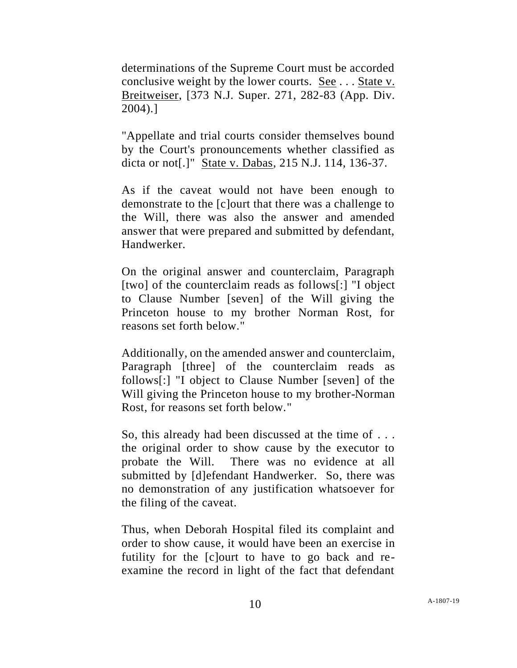determinations of the Supreme Court must be accorded conclusive weight by the lower courts. See . . . State v. Breitweiser, [373 N.J. Super. 271, 282-83 (App. Div. 2004).]

"Appellate and trial courts consider themselves bound by the Court's pronouncements whether classified as dicta or not[.]" State v. Dabas, 215 N.J. 114, 136-37.

As if the caveat would not have been enough to demonstrate to the [c]ourt that there was a challenge to the Will, there was also the answer and amended answer that were prepared and submitted by defendant, Handwerker.

On the original answer and counterclaim, Paragraph [two] of the counterclaim reads as follows[:] "I object to Clause Number [seven] of the Will giving the Princeton house to my brother Norman Rost, for reasons set forth below."

Additionally, on the amended answer and counterclaim, Paragraph [three] of the counterclaim reads as follows[:] "I object to Clause Number [seven] of the Will giving the Princeton house to my brother-Norman Rost, for reasons set forth below."

So, this already had been discussed at the time of . . . the original order to show cause by the executor to probate the Will. There was no evidence at all submitted by [d]efendant Handwerker. So, there was no demonstration of any justification whatsoever for the filing of the caveat.

Thus, when Deborah Hospital filed its complaint and order to show cause, it would have been an exercise in futility for the [c]ourt to have to go back and reexamine the record in light of the fact that defendant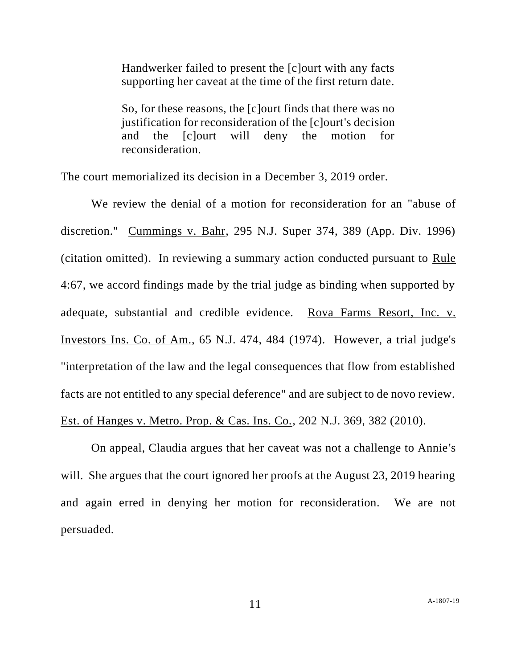Handwerker failed to present the [c]ourt with any facts supporting her caveat at the time of the first return date.

So, for these reasons, the [c]ourt finds that there was no justification for reconsideration of the [c]ourt's decision and the [c]ourt will deny the motion for reconsideration.

The court memorialized its decision in a December 3, 2019 order.

We review the denial of a motion for reconsideration for an "abuse of discretion." Cummings v. Bahr, 295 N.J. Super 374, 389 (App. Div. 1996) (citation omitted). In reviewing a summary action conducted pursuant to Rule 4:67, we accord findings made by the trial judge as binding when supported by adequate, substantial and credible evidence. Rova Farms [Resort,](https://1.next.westlaw.com/Link/Document/FullText?findType=Y&serNum=1974101898&pubNum=0000583&originatingDoc=If2195300992f11eab3baac36ecf92c85&refType=RP&fi=co_pp_sp_583_484&originationContext=document&transitionType=DocumentItem&contextData=(sc.Search)#co_pp_sp_583_484) Inc. v. [Investors](https://1.next.westlaw.com/Link/Document/FullText?findType=Y&serNum=1974101898&pubNum=0000583&originatingDoc=If2195300992f11eab3baac36ecf92c85&refType=RP&fi=co_pp_sp_583_484&originationContext=document&transitionType=DocumentItem&contextData=(sc.Search)#co_pp_sp_583_484) Ins. Co. of Am., 65 N.J. 474, 484 (1974). However, a trial judge's "interpretation of the law and the legal consequences that flow from established facts are not entitled to any special deference" and are subject to de novo review. Est. of Hanges v. Metro. Prop. & Cas. Ins. Co., 202 N.J. 369, 382 (2010).

On appeal, Claudia argues that her caveat was not a challenge to Annie's will. She argues that the court ignored her proofs at the August 23, 2019 hearing and again erred in denying her motion for reconsideration. We are not persuaded.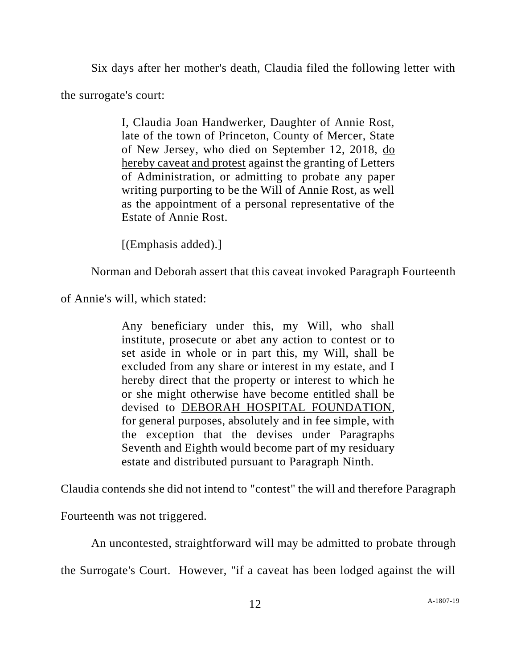Six days after her mother's death, Claudia filed the following letter with the surrogate's court:

> I, Claudia Joan Handwerker, Daughter of Annie Rost, late of the town of Princeton, County of Mercer, State of New Jersey, who died on September 12, 2018, do hereby caveat and protest against the granting of Letters of Administration, or admitting to probate any paper writing purporting to be the Will of Annie Rost, as well as the appointment of a personal representative of the Estate of Annie Rost.

[(Emphasis added).]

Norman and Deborah assert that this caveat invoked Paragraph Fourteenth

of Annie's will, which stated:

Any beneficiary under this, my Will, who shall institute, prosecute or abet any action to contest or to set aside in whole or in part this, my Will, shall be excluded from any share or interest in my estate, and I hereby direct that the property or interest to which he or she might otherwise have become entitled shall be devised to DEBORAH HOSPITAL FOUNDATION, for general purposes, absolutely and in fee simple, with the exception that the devises under Paragraphs Seventh and Eighth would become part of my residuary estate and distributed pursuant to Paragraph Ninth.

Claudia contends she did not intend to "contest" the will and therefore Paragraph

Fourteenth was not triggered.

An uncontested, straightforward will may be admitted to probate through

the Surrogate's Court. However, "if a caveat has been lodged against the will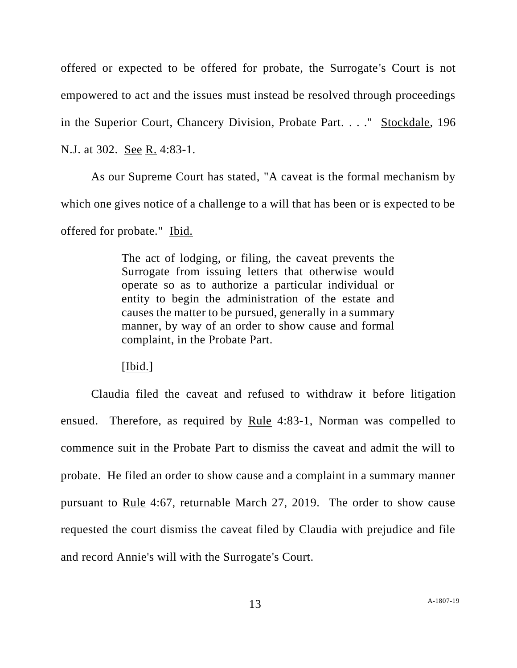offered or expected to be offered for probate, the Surrogate's Court is not empowered to act and the issues must instead be resolved through proceedings in the Superior Court, Chancery Division, Probate Part. . . ." Stockdale, 196 N.J. at 302. See R. 4:83-1.

As our Supreme Court has stated, "A caveat is the formal mechanism by which one gives notice of a challenge to a will that has been or is expected to be offered for probate." Ibid.

> The act of lodging, or filing, the caveat prevents the Surrogate from issuing letters that otherwise would operate so as to authorize a particular individual or entity to begin the administration of the estate and causes the matter to be pursued, generally in a summary manner, by way of an order to show cause and formal complaint, in the Probate Part.

[Ibid.]

Claudia filed the caveat and refused to withdraw it before litigation ensued. Therefore, as required by Rule 4:83-1, Norman was compelled to commence suit in the Probate Part to dismiss the caveat and admit the will to probate. He filed an order to show cause and a complaint in a summary manner pursuant to Rule 4:67, returnable March 27, 2019. The order to show cause requested the court dismiss the caveat filed by Claudia with prejudice and file and record Annie's will with the Surrogate's Court.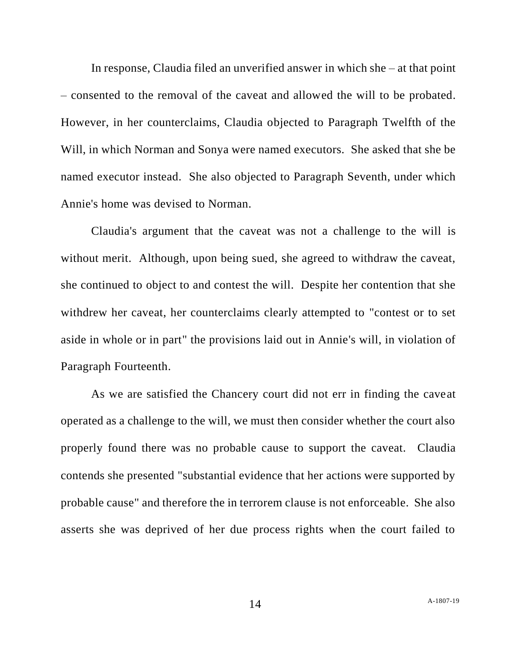In response, Claudia filed an unverified answer in which she – at that point – consented to the removal of the caveat and allowed the will to be probated. However, in her counterclaims, Claudia objected to Paragraph Twelfth of the Will, in which Norman and Sonya were named executors. She asked that she be named executor instead. She also objected to Paragraph Seventh, under which Annie's home was devised to Norman.

Claudia's argument that the caveat was not a challenge to the will is without merit. Although, upon being sued, she agreed to withdraw the caveat, she continued to object to and contest the will. Despite her contention that she withdrew her caveat, her counterclaims clearly attempted to "contest or to set aside in whole or in part" the provisions laid out in Annie's will, in violation of Paragraph Fourteenth.

As we are satisfied the Chancery court did not err in finding the caveat operated as a challenge to the will, we must then consider whether the court also properly found there was no probable cause to support the caveat. Claudia contends she presented "substantial evidence that her actions were supported by probable cause" and therefore the in terrorem clause is not enforceable. She also asserts she was deprived of her due process rights when the court failed to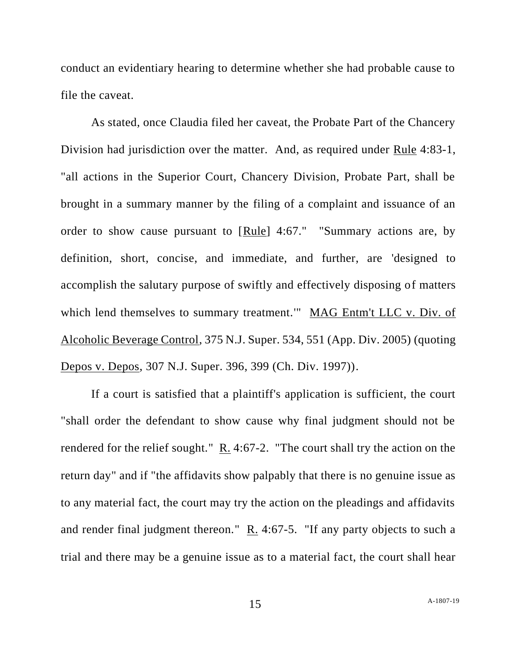conduct an evidentiary hearing to determine whether she had probable cause to file the caveat.

As stated, once Claudia filed her caveat, the Probate Part of the Chancery Division had jurisdiction over the matter. And, as required under Rule 4:83-1, "all actions in the Superior Court, Chancery Division, Probate Part, shall be brought in a summary manner by the filing of a complaint and issuance of an order to show cause pursuant to [Rule] 4:67." "Summary actions are, by definition, short, concise, and immediate, and further, are 'designed to accomplish the salutary purpose of swiftly and effectively disposing of matters which lend themselves to summary treatment." MAG Entm't LLC v. Div. of Alcoholic Beverage Control, 375 N.J. Super. 534, 551 (App. Div. 2005) (quoting Depos v. Depos, 307 N.J. Super. 396, 399 (Ch. Div. 1997)).

If a court is satisfied that a plaintiff's application is sufficient, the court "shall order the defendant to show cause why final judgment should not be rendered for the relief sought."  $R_2$ . 4:67-2. "The court shall try the action on the return day" and if "the affidavits show palpably that there is no genuine issue as to any material fact, the court may try the action on the pleadings and affidavits and render final judgment thereon." R. 4:67-5. "If any party objects to such a trial and there may be a genuine issue as to a material fact, the court shall hear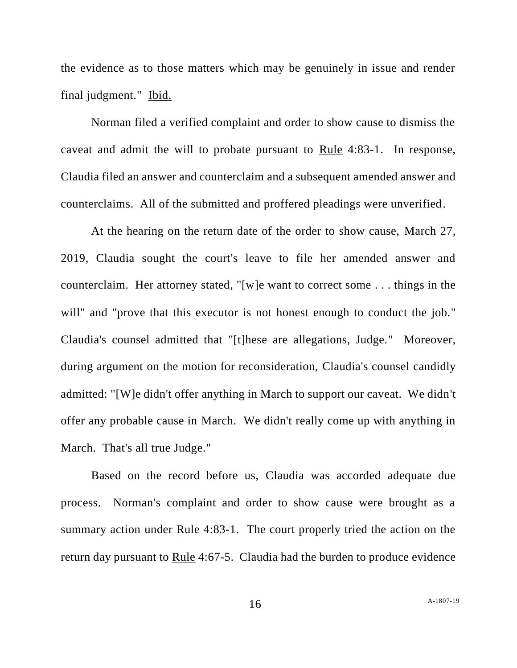the evidence as to those matters which may be genuinely in issue and render final judgment." Ibid.

Norman filed a verified complaint and order to show cause to dismiss the caveat and admit the will to probate pursuant to Rule 4:83-1. In response, Claudia filed an answer and counterclaim and a subsequent amended answer and counterclaims. All of the submitted and proffered pleadings were unverified.

At the hearing on the return date of the order to show cause, March 27, 2019, Claudia sought the court's leave to file her amended answer and counterclaim. Her attorney stated, "[w]e want to correct some . . . things in the will" and "prove that this executor is not honest enough to conduct the job." Claudia's counsel admitted that "[t]hese are allegations, Judge." Moreover, during argument on the motion for reconsideration, Claudia's counsel candidly admitted: "[W]e didn't offer anything in March to support our caveat. We didn't offer any probable cause in March. We didn't really come up with anything in March. That's all true Judge."

Based on the record before us, Claudia was accorded adequate due process. Norman's complaint and order to show cause were brought as a summary action under Rule 4:83-1. The court properly tried the action on the return day pursuant to Rule 4:67-5. Claudia had the burden to produce evidence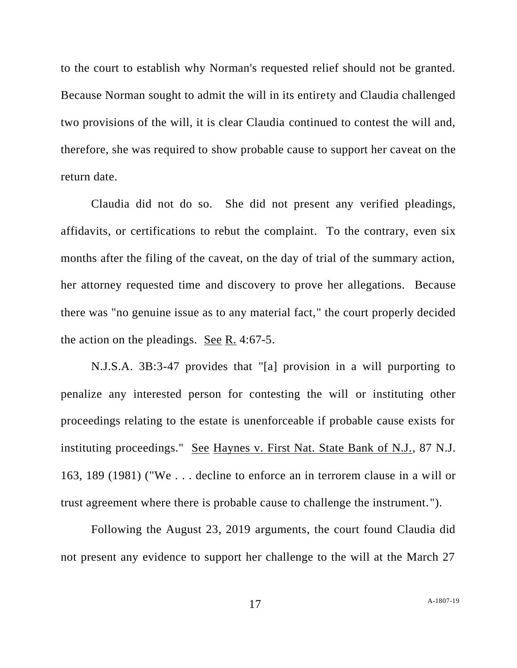to the court to establish why Norman's requested relief should not be granted. Because Norman sought to admit the will in its entirety and Claudia challenged two provisions of the will, it is clear Claudia continued to contest the will and, therefore, she was required to show probable cause to support her caveat on the return date.

Claudia did not do so. She did not present any verified pleadings, affidavits, or certifications to rebut the complaint. To the contrary, even six months after the filing of the caveat, on the day of trial of the summary action, her attorney requested time and discovery to prove her allegations. Because there was "no genuine issue as to any material fact," the court properly decided the action on the pleadings. See R. 4:67-5.

N.J.S.A. 3B:3-47 provides that "[a] provision in a will purporting to penalize any interested person for contesting the will or instituting other proceedings relating to the estate is unenforceable if probable cause exists for instituting proceedings." See Haynes v. First Nat. State Bank of N.J., 87 N.J. 163, 189 (1981) ("We . . . decline to enforce an in terrorem clause in a will or trust agreement where there is probable cause to challenge the instrument.").

Following the August 23, 2019 arguments, the court found Claudia did not present any evidence to support her challenge to the will at the March 27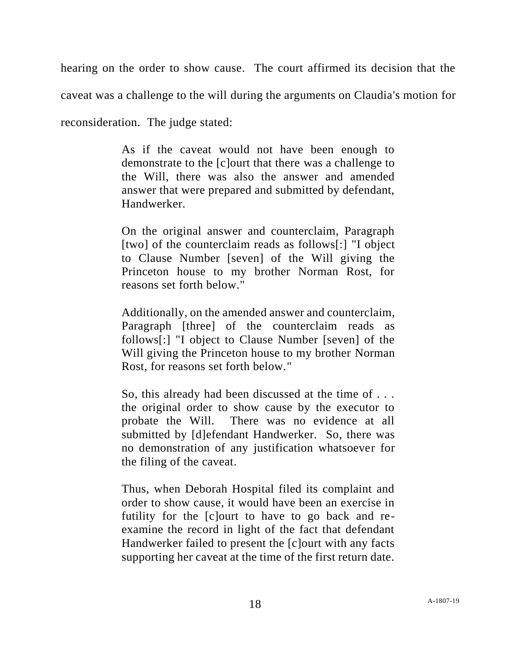hearing on the order to show cause. The court affirmed its decision that the

caveat was a challenge to the will during the arguments on Claudia's motion for

reconsideration. The judge stated:

As if the caveat would not have been enough to demonstrate to the [c]ourt that there was a challenge to the Will, there was also the answer and amended answer that were prepared and submitted by defendant, Handwerker.

On the original answer and counterclaim, Paragraph [two] of the counterclaim reads as follows[:] "I object to Clause Number [seven] of the Will giving the Princeton house to my brother Norman Rost, for reasons set forth below."

Additionally, on the amended answer and counterclaim, Paragraph [three] of the counterclaim reads as follows[:] "I object to Clause Number [seven] of the Will giving the Princeton house to my brother Norman Rost, for reasons set forth below."

So, this already had been discussed at the time of . . . the original order to show cause by the executor to probate the Will. There was no evidence at all submitted by [d]efendant Handwerker. So, there was no demonstration of any justification whatsoever for the filing of the caveat.

Thus, when Deborah Hospital filed its complaint and order to show cause, it would have been an exercise in futility for the [c]ourt to have to go back and reexamine the record in light of the fact that defendant Handwerker failed to present the [c]ourt with any facts supporting her caveat at the time of the first return date.